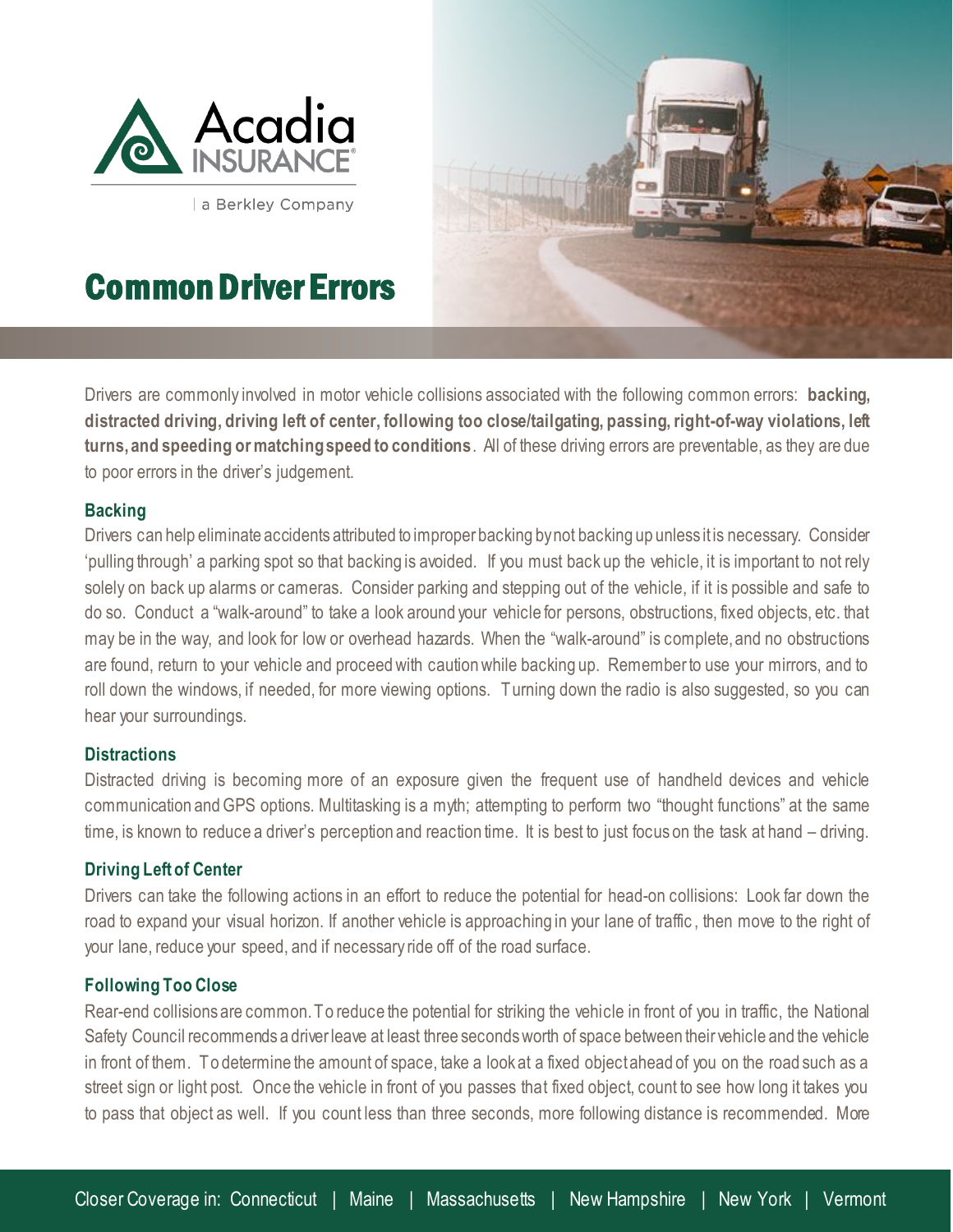

a Berkley Company

# Common Driver Errors



Drivers are commonly involved in motor vehicle collisions associated with the following common errors: **backing, distracted driving, driving left of center, following too close/tailgating, passing, right-of-way violations, left turns, and speeding or matching speed to conditions**. All of these driving errors are preventable, as they are due to poor errors in the driver's judgement.

### **Backing**

l

Drivers can help eliminate accidents attributed to improper backing bynot backing up unless it is necessary. Consider 'pulling through' a parking spot so that backing is avoided. If you must back up the vehicle, it is important to not rely solely on back up alarms or cameras. Consider parking and stepping out of the vehicle, if it is possible and safe to do so. Conduct a "walk-around" to take a look around your vehicle for persons, obstructions, fixed objects, etc. that may be in the way, and look for low or overhead hazards. When the "walk-around" is complete, and no obstructions are found, return to your vehicle and proceed with caution while backing up. Remember to use your mirrors, and to roll down the windows, if needed, for more viewing options. Turning down the radio is also suggested, so you can hear your surroundings.

#### **Distractions**

Distracted driving is becoming more of an exposure given the frequent use of handheld devices and vehicle communication and GPS options. Multitasking is a myth; attempting to perform two "thought functions" at the same time, is known to reduce a driver's perception and reaction time. It is best to just focus on the task at hand – driving.

#### **Driving Left of Center**

Drivers can take the following actions in an effort to reduce the potential for head-on collisions: Look far down the road to expand your visual horizon. If another vehicle is approaching in your lane of traffic , then move to the right of your lane, reduce your speed, and if necessary ride off of the road surface.

#### **Following Too Close**

Rear-end collisions are common. To reduce the potential for striking the vehicle in front of you in traffic, the National Safety Council recommends a driver leave at least three seconds worth of space between their vehicle and the vehicle in front of them. To determine the amount of space, take a look at a fixed object ahead of you on the road such as a street sign or light post. Once the vehicle in front of you passes that fixed object, count to see how long it takes you to pass that object as well. If you count less than three seconds, more following distance is recommended. More